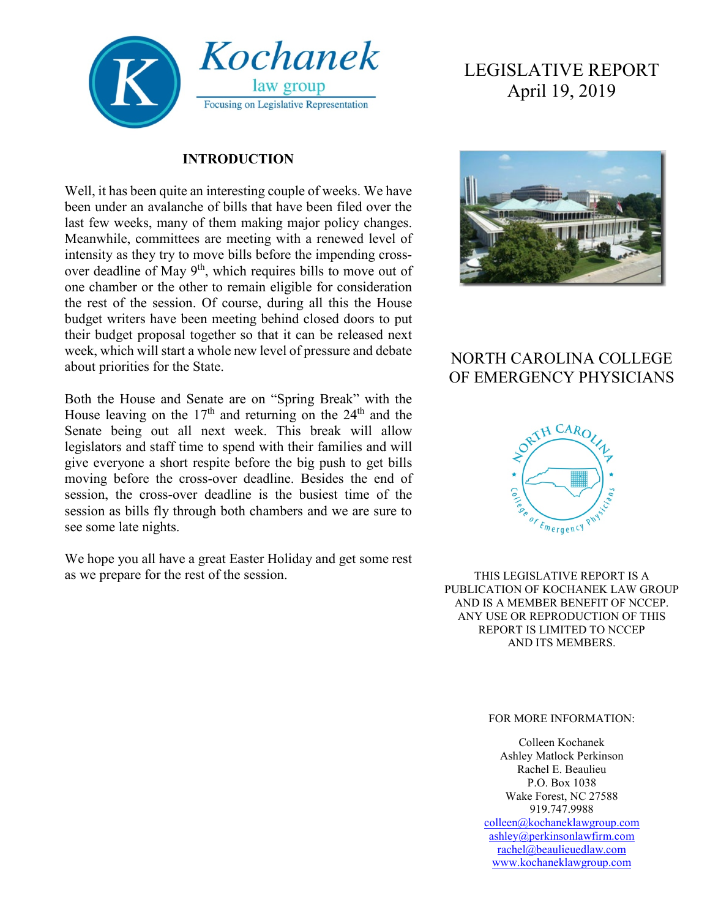

#### **INTRODUCTION**

Well, it has been quite an interesting couple of weeks. We have been under an avalanche of bills that have been filed over the last few weeks, many of them making major policy changes. Meanwhile, committees are meeting with a renewed level of intensity as they try to move bills before the impending crossover deadline of May 9<sup>th</sup>, which requires bills to move out of one chamber or the other to remain eligible for consideration the rest of the session. Of course, during all this the House budget writers have been meeting behind closed doors to put their budget proposal together so that it can be released next week, which will start a whole new level of pressure and debate about priorities for the State.

Both the House and Senate are on "Spring Break" with the House leaving on the  $17<sup>th</sup>$  and returning on the  $24<sup>th</sup>$  and the Senate being out all next week. This break will allow legislators and staff time to spend with their families and will give everyone a short respite before the big push to get bills moving before the cross-over deadline. Besides the end of session, the cross-over deadline is the busiest time of the session as bills fly through both chambers and we are sure to see some late nights.

We hope you all have a great Easter Holiday and get some rest as we prepare for the rest of the session.

# LEGISLATIVE REPORT April 19, 2019



# NORTH CAROLINA COLLEGE OF EMERGENCY PHYSICIANS



THIS LEGISLATIVE REPORT IS A PUBLICATION OF KOCHANEK LAW GROUP AND IS A MEMBER BENEFIT OF NCCEP. ANY USE OR REPRODUCTION OF THIS REPORT IS LIMITED TO NCCEP AND ITS MEMBERS.

#### FOR MORE INFORMATION:

Colleen Kochanek Ashley Matlock Perkinson Rachel E. Beaulieu P.O. Box 1038 Wake Forest, NC 27588 919.747.9988 [colleen@kochaneklawgroup.com](mailto:colleen@kochaneklawgroup.com) [ashley@perkinsonlawfirm.com](mailto:ashley@perkinsonlawfirm.com) [rachel@beaulieuedlaw.com](mailto:rachel@beaulieuedlaw.com) [www.kochaneklawgroup.com](http://www.kochaneklawgroup.com/)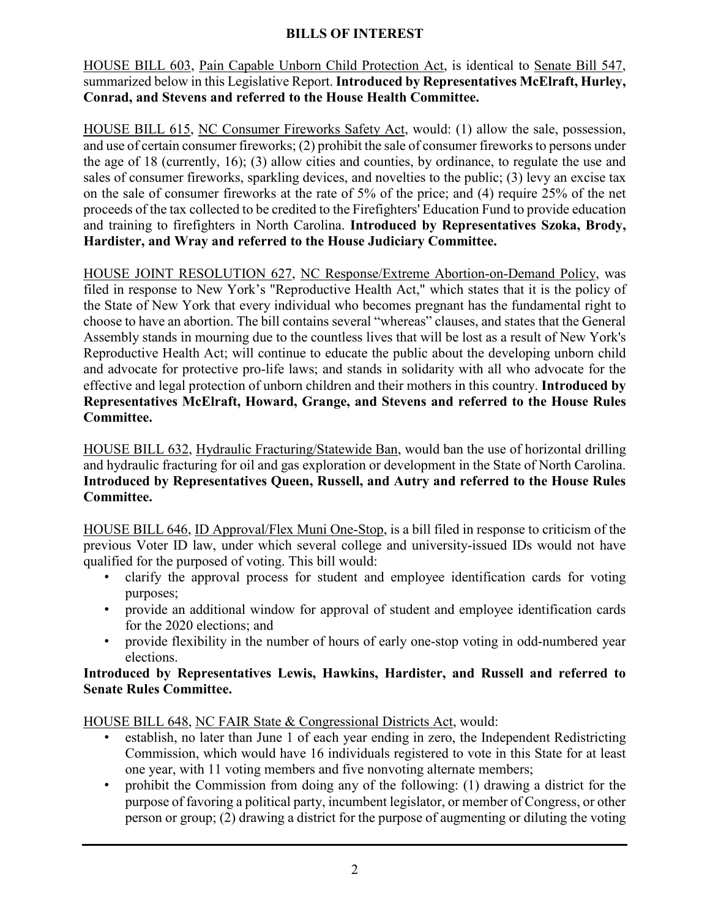#### **BILLS OF INTEREST**

HOUSE BILL 603, Pain Capable Unborn Child Protection Act, is identical to Senate Bill 547, summarized below in this Legislative Report. **Introduced by Representatives McElraft, Hurley, Conrad, and Stevens and referred to the House Health Committee.**

HOUSE BILL 615, NC Consumer Fireworks Safety Act, would: (1) allow the sale, possession, and use of certain consumer fireworks; (2) prohibit the sale of consumer fireworks to persons under the age of 18 (currently, 16); (3) allow cities and counties, by ordinance, to regulate the use and sales of consumer fireworks, sparkling devices, and novelties to the public; (3) levy an excise tax on the sale of consumer fireworks at the rate of 5% of the price; and (4) require 25% of the net proceeds of the tax collected to be credited to the Firefighters' Education Fund to provide education and training to firefighters in North Carolina. **Introduced by Representatives Szoka, Brody, Hardister, and Wray and referred to the House Judiciary Committee.**

HOUSE JOINT RESOLUTION 627, NC Response/Extreme Abortion-on-Demand Policy, was filed in response to New York's "Reproductive Health Act," which states that it is the policy of the State of New York that every individual who becomes pregnant has the fundamental right to choose to have an abortion. The bill contains several "whereas" clauses, and states that the General Assembly stands in mourning due to the countless lives that will be lost as a result of New York's Reproductive Health Act; will continue to educate the public about the developing unborn child and advocate for protective pro-life laws; and stands in solidarity with all who advocate for the effective and legal protection of unborn children and their mothers in this country. **Introduced by Representatives McElraft, Howard, Grange, and Stevens and referred to the House Rules Committee.**

HOUSE BILL 632, Hydraulic Fracturing/Statewide Ban, would ban the use of horizontal drilling and hydraulic fracturing for oil and gas exploration or development in the State of North Carolina. **Introduced by Representatives Queen, Russell, and Autry and referred to the House Rules Committee.**

HOUSE BILL 646, ID Approval/Flex Muni One-Stop, is a bill filed in response to criticism of the previous Voter ID law, under which several college and university-issued IDs would not have qualified for the purposed of voting. This bill would:

- clarify the approval process for student and employee identification cards for voting purposes;
- provide an additional window for approval of student and employee identification cards for the 2020 elections; and
- provide flexibility in the number of hours of early one-stop voting in odd-numbered year elections.

**Introduced by Representatives Lewis, Hawkins, Hardister, and Russell and referred to Senate Rules Committee.**

HOUSE BILL 648, NC FAIR State & Congressional Districts Act, would:

- establish, no later than June 1 of each year ending in zero, the Independent Redistricting Commission, which would have 16 individuals registered to vote in this State for at least one year, with 11 voting members and five nonvoting alternate members;
- prohibit the Commission from doing any of the following: (1) drawing a district for the purpose of favoring a political party, incumbent legislator, or member of Congress, or other person or group; (2) drawing a district for the purpose of augmenting or diluting the voting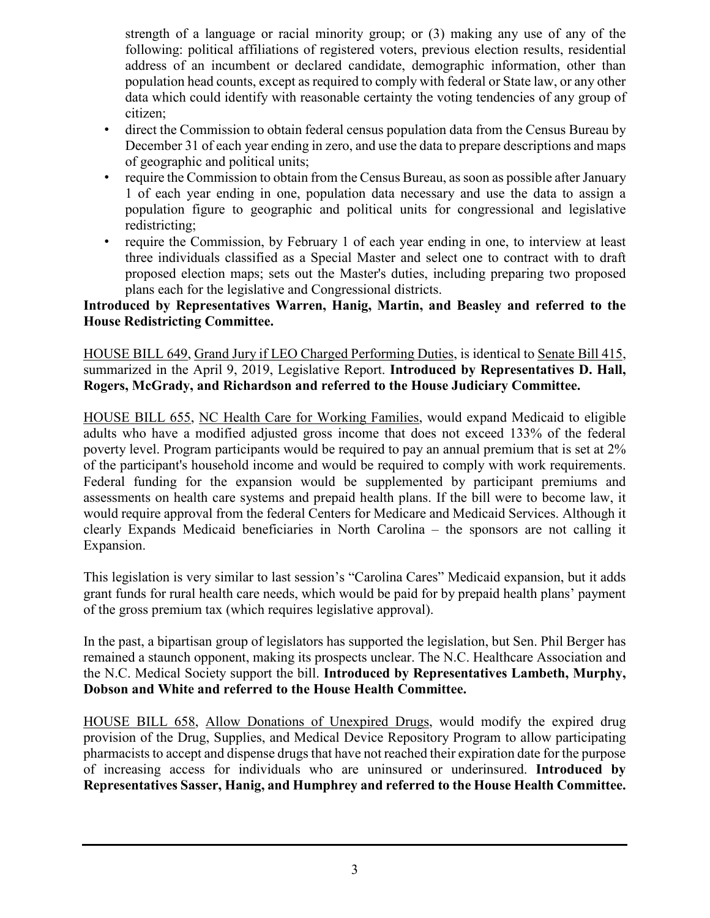strength of a language or racial minority group; or (3) making any use of any of the following: political affiliations of registered voters, previous election results, residential address of an incumbent or declared candidate, demographic information, other than population head counts, except as required to comply with federal or State law, or any other data which could identify with reasonable certainty the voting tendencies of any group of citizen;

- direct the Commission to obtain federal census population data from the Census Bureau by December 31 of each year ending in zero, and use the data to prepare descriptions and maps of geographic and political units;
- require the Commission to obtain from the Census Bureau, as soon as possible after January 1 of each year ending in one, population data necessary and use the data to assign a population figure to geographic and political units for congressional and legislative redistricting;
- require the Commission, by February 1 of each year ending in one, to interview at least three individuals classified as a Special Master and select one to contract with to draft proposed election maps; sets out the Master's duties, including preparing two proposed plans each for the legislative and Congressional districts.

#### **Introduced by Representatives Warren, Hanig, Martin, and Beasley and referred to the House Redistricting Committee.**

HOUSE BILL 649, Grand Jury if LEO Charged Performing Duties, is identical to Senate Bill 415, summarized in the April 9, 2019, Legislative Report. **Introduced by Representatives D. Hall, Rogers, McGrady, and Richardson and referred to the House Judiciary Committee.**

HOUSE BILL 655, NC Health Care for Working Families, would expand Medicaid to eligible adults who have a modified adjusted gross income that does not exceed 133% of the federal poverty level. Program participants would be required to pay an annual premium that is set at 2% of the participant's household income and would be required to comply with work requirements. Federal funding for the expansion would be supplemented by participant premiums and assessments on health care systems and prepaid health plans. If the bill were to become law, it would require approval from the federal Centers for Medicare and Medicaid Services. Although it clearly Expands Medicaid beneficiaries in North Carolina – the sponsors are not calling it Expansion.

This legislation is very similar to last session's "Carolina Cares" Medicaid expansion, but it adds grant funds for rural health care needs, which would be paid for by prepaid health plans' payment of the gross premium tax (which requires legislative approval).

In the past, a bipartisan group of legislators has supported the legislation, but Sen. Phil Berger has remained a staunch opponent, making its prospects unclear. The N.C. Healthcare Association and the N.C. Medical Society support the bill. **Introduced by Representatives Lambeth, Murphy, Dobson and White and referred to the House Health Committee.**

HOUSE BILL 658, Allow Donations of Unexpired Drugs, would modify the expired drug provision of the Drug, Supplies, and Medical Device Repository Program to allow participating pharmacists to accept and dispense drugs that have not reached their expiration date for the purpose of increasing access for individuals who are uninsured or underinsured. **Introduced by Representatives Sasser, Hanig, and Humphrey and referred to the House Health Committee.**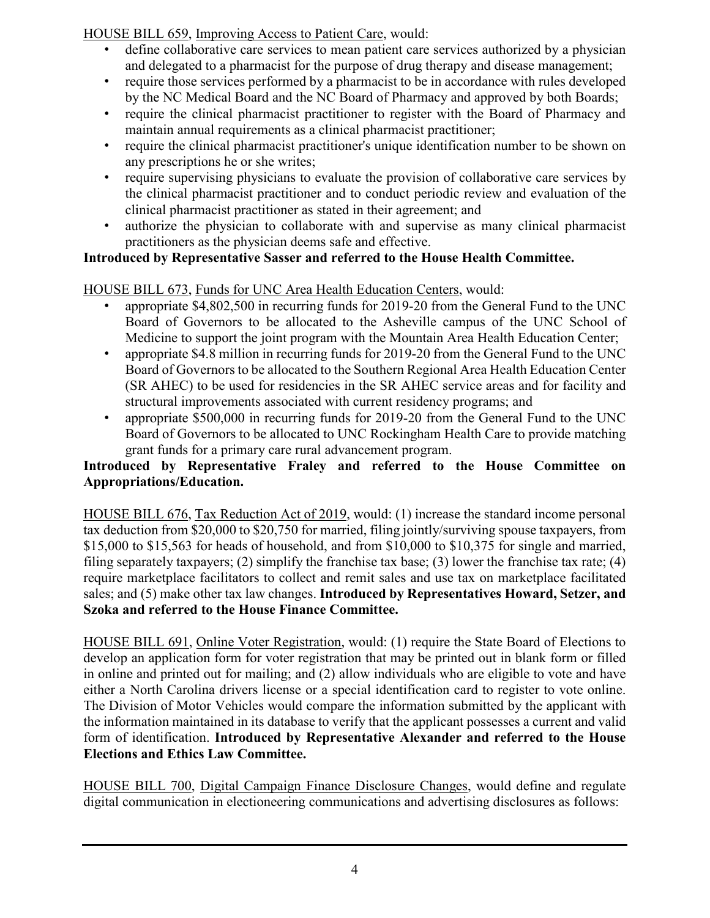HOUSE BILL 659, Improving Access to Patient Care, would:

- define collaborative care services to mean patient care services authorized by a physician and delegated to a pharmacist for the purpose of drug therapy and disease management;
- require those services performed by a pharmacist to be in accordance with rules developed by the NC Medical Board and the NC Board of Pharmacy and approved by both Boards;
- require the clinical pharmacist practitioner to register with the Board of Pharmacy and maintain annual requirements as a clinical pharmacist practitioner;
- require the clinical pharmacist practitioner's unique identification number to be shown on any prescriptions he or she writes;
- require supervising physicians to evaluate the provision of collaborative care services by the clinical pharmacist practitioner and to conduct periodic review and evaluation of the clinical pharmacist practitioner as stated in their agreement; and
- authorize the physician to collaborate with and supervise as many clinical pharmacist practitioners as the physician deems safe and effective.

## **Introduced by Representative Sasser and referred to the House Health Committee.**

### HOUSE BILL 673, Funds for UNC Area Health Education Centers, would:

- appropriate \$4,802,500 in recurring funds for 2019-20 from the General Fund to the UNC Board of Governors to be allocated to the Asheville campus of the UNC School of Medicine to support the joint program with the Mountain Area Health Education Center;
- appropriate \$4.8 million in recurring funds for 2019-20 from the General Fund to the UNC Board of Governors to be allocated to the Southern Regional Area Health Education Center (SR AHEC) to be used for residencies in the SR AHEC service areas and for facility and structural improvements associated with current residency programs; and
- appropriate \$500,000 in recurring funds for 2019-20 from the General Fund to the UNC Board of Governors to be allocated to UNC Rockingham Health Care to provide matching grant funds for a primary care rural advancement program.

#### **Introduced by Representative Fraley and referred to the House Committee on Appropriations/Education.**

HOUSE BILL 676, Tax Reduction Act of 2019, would: (1) increase the standard income personal tax deduction from \$20,000 to \$20,750 for married, filing jointly/surviving spouse taxpayers, from \$15,000 to \$15,563 for heads of household, and from \$10,000 to \$10,375 for single and married, filing separately taxpayers; (2) simplify the franchise tax base; (3) lower the franchise tax rate; (4) require marketplace facilitators to collect and remit sales and use tax on marketplace facilitated sales; and (5) make other tax law changes. **Introduced by Representatives Howard, Setzer, and Szoka and referred to the House Finance Committee.**

HOUSE BILL 691, Online Voter Registration, would: (1) require the State Board of Elections to develop an application form for voter registration that may be printed out in blank form or filled in online and printed out for mailing; and (2) allow individuals who are eligible to vote and have either a North Carolina drivers license or a special identification card to register to vote online. The Division of Motor Vehicles would compare the information submitted by the applicant with the information maintained in its database to verify that the applicant possesses a current and valid form of identification. **Introduced by Representative Alexander and referred to the House Elections and Ethics Law Committee.**

HOUSE BILL 700, Digital Campaign Finance Disclosure Changes, would define and regulate digital communication in electioneering communications and advertising disclosures as follows: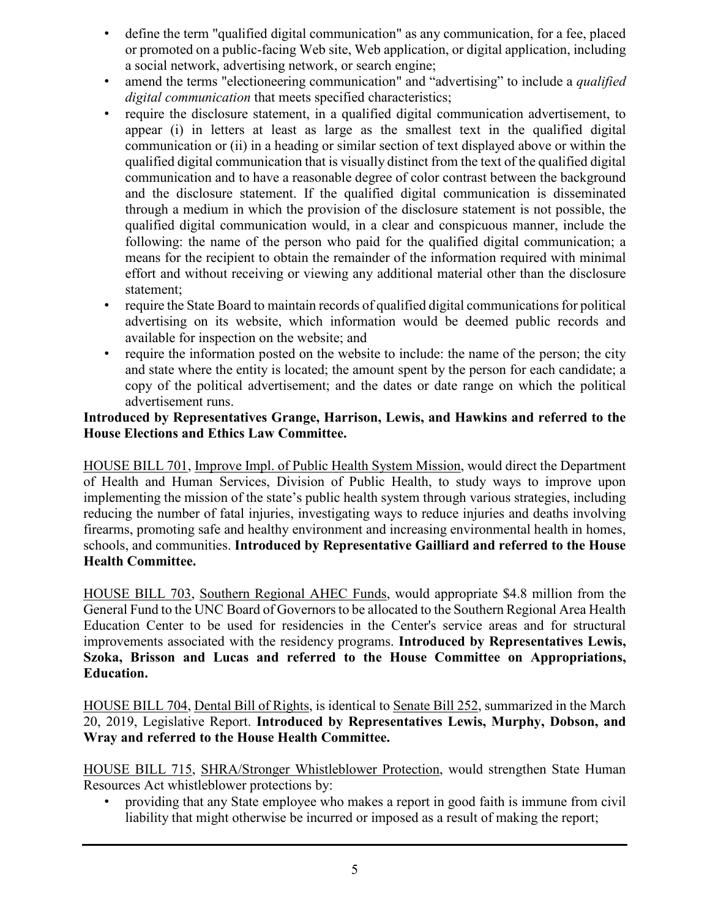- define the term "qualified digital communication" as any communication, for a fee, placed or promoted on a public-facing Web site, Web application, or digital application, including a social network, advertising network, or search engine;
- amend the terms "electioneering communication" and "advertising" to include a *qualified digital communication* that meets specified characteristics;
- require the disclosure statement, in a qualified digital communication advertisement, to appear (i) in letters at least as large as the smallest text in the qualified digital communication or (ii) in a heading or similar section of text displayed above or within the qualified digital communication that is visually distinct from the text of the qualified digital communication and to have a reasonable degree of color contrast between the background and the disclosure statement. If the qualified digital communication is disseminated through a medium in which the provision of the disclosure statement is not possible, the qualified digital communication would, in a clear and conspicuous manner, include the following: the name of the person who paid for the qualified digital communication; a means for the recipient to obtain the remainder of the information required with minimal effort and without receiving or viewing any additional material other than the disclosure statement;
- require the State Board to maintain records of qualified digital communications for political advertising on its website, which information would be deemed public records and available for inspection on the website; and
- require the information posted on the website to include: the name of the person; the city and state where the entity is located; the amount spent by the person for each candidate; a copy of the political advertisement; and the dates or date range on which the political advertisement runs.

#### **Introduced by Representatives Grange, Harrison, Lewis, and Hawkins and referred to the House Elections and Ethics Law Committee.**

HOUSE BILL 701, Improve Impl. of Public Health System Mission, would direct the Department of Health and Human Services, Division of Public Health, to study ways to improve upon implementing the mission of the state's public health system through various strategies, including reducing the number of fatal injuries, investigating ways to reduce injuries and deaths involving firearms, promoting safe and healthy environment and increasing environmental health in homes, schools, and communities. **Introduced by Representative Gailliard and referred to the House Health Committee.**

HOUSE BILL 703, Southern Regional AHEC Funds, would appropriate \$4.8 million from the General Fund to the UNC Board of Governors to be allocated to the Southern Regional Area Health Education Center to be used for residencies in the Center's service areas and for structural improvements associated with the residency programs. **Introduced by Representatives Lewis, Szoka, Brisson and Lucas and referred to the House Committee on Appropriations, Education.**

HOUSE BILL 704, Dental Bill of Rights, is identical to Senate Bill 252, summarized in the March 20, 2019, Legislative Report. **Introduced by Representatives Lewis, Murphy, Dobson, and Wray and referred to the House Health Committee.**

HOUSE BILL 715, SHRA/Stronger Whistleblower Protection, would strengthen State Human Resources Act whistleblower protections by:

• providing that any State employee who makes a report in good faith is immune from civil liability that might otherwise be incurred or imposed as a result of making the report;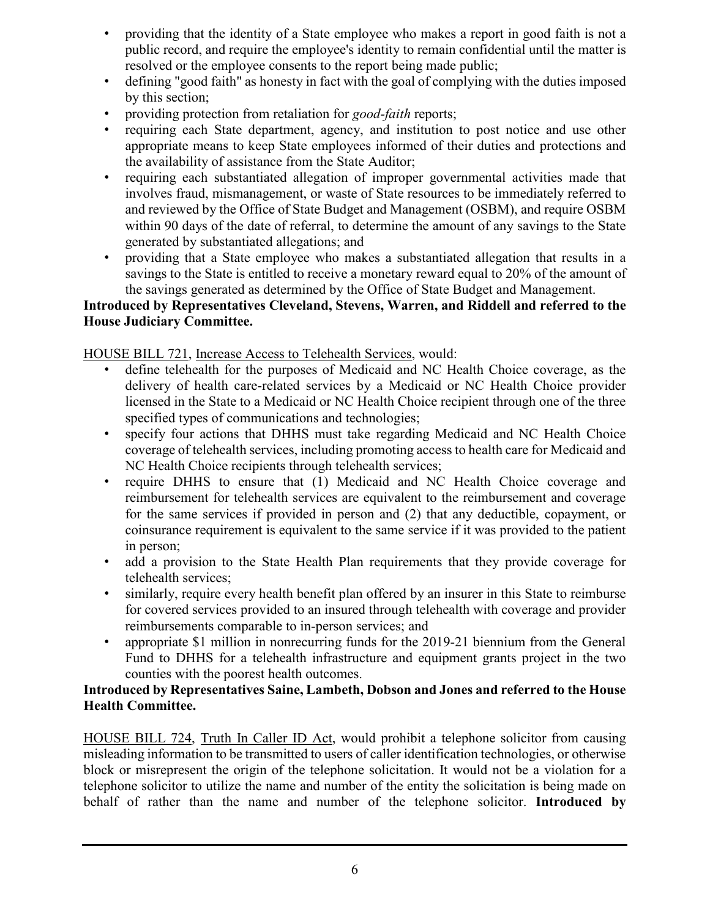- providing that the identity of a State employee who makes a report in good faith is not a public record, and require the employee's identity to remain confidential until the matter is resolved or the employee consents to the report being made public;
- defining "good faith" as honesty in fact with the goal of complying with the duties imposed by this section;
- providing protection from retaliation for *good-faith* reports;
- requiring each State department, agency, and institution to post notice and use other appropriate means to keep State employees informed of their duties and protections and the availability of assistance from the State Auditor;
- requiring each substantiated allegation of improper governmental activities made that involves fraud, mismanagement, or waste of State resources to be immediately referred to and reviewed by the Office of State Budget and Management (OSBM), and require OSBM within 90 days of the date of referral, to determine the amount of any savings to the State generated by substantiated allegations; and
- providing that a State employee who makes a substantiated allegation that results in a savings to the State is entitled to receive a monetary reward equal to 20% of the amount of the savings generated as determined by the Office of State Budget and Management.

#### **Introduced by Representatives Cleveland, Stevens, Warren, and Riddell and referred to the House Judiciary Committee.**

HOUSE BILL 721, Increase Access to Telehealth Services, would:

- define telehealth for the purposes of Medicaid and NC Health Choice coverage, as the delivery of health care-related services by a Medicaid or NC Health Choice provider licensed in the State to a Medicaid or NC Health Choice recipient through one of the three specified types of communications and technologies;
- specify four actions that DHHS must take regarding Medicaid and NC Health Choice coverage of telehealth services, including promoting access to health care for Medicaid and NC Health Choice recipients through telehealth services;
- require DHHS to ensure that (1) Medicaid and NC Health Choice coverage and reimbursement for telehealth services are equivalent to the reimbursement and coverage for the same services if provided in person and (2) that any deductible, copayment, or coinsurance requirement is equivalent to the same service if it was provided to the patient in person;
- add a provision to the State Health Plan requirements that they provide coverage for telehealth services;
- similarly, require every health benefit plan offered by an insurer in this State to reimburse for covered services provided to an insured through telehealth with coverage and provider reimbursements comparable to in-person services; and
- appropriate \$1 million in nonrecurring funds for the 2019-21 biennium from the General Fund to DHHS for a telehealth infrastructure and equipment grants project in the two counties with the poorest health outcomes.

#### **Introduced by Representatives Saine, Lambeth, Dobson and Jones and referred to the House Health Committee.**

HOUSE BILL 724, Truth In Caller ID Act, would prohibit a telephone solicitor from causing misleading information to be transmitted to users of caller identification technologies, or otherwise block or misrepresent the origin of the telephone solicitation. It would not be a violation for a telephone solicitor to utilize the name and number of the entity the solicitation is being made on behalf of rather than the name and number of the telephone solicitor. **Introduced by**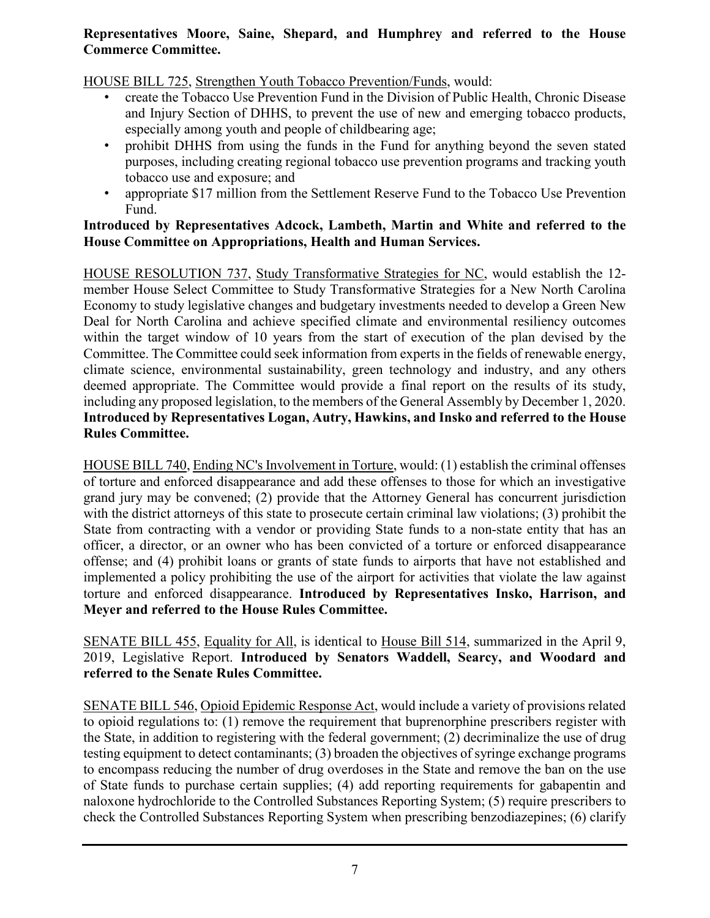#### **Representatives Moore, Saine, Shepard, and Humphrey and referred to the House Commerce Committee.**

#### HOUSE BILL 725, Strengthen Youth Tobacco Prevention/Funds, would:

- create the Tobacco Use Prevention Fund in the Division of Public Health, Chronic Disease and Injury Section of DHHS, to prevent the use of new and emerging tobacco products, especially among youth and people of childbearing age;
- prohibit DHHS from using the funds in the Fund for anything beyond the seven stated purposes, including creating regional tobacco use prevention programs and tracking youth tobacco use and exposure; and
- appropriate \$17 million from the Settlement Reserve Fund to the Tobacco Use Prevention Fund.

#### **Introduced by Representatives Adcock, Lambeth, Martin and White and referred to the House Committee on Appropriations, Health and Human Services.**

HOUSE RESOLUTION 737, Study Transformative Strategies for NC, would establish the 12 member House Select Committee to Study Transformative Strategies for a New North Carolina Economy to study legislative changes and budgetary investments needed to develop a Green New Deal for North Carolina and achieve specified climate and environmental resiliency outcomes within the target window of 10 years from the start of execution of the plan devised by the Committee. The Committee could seek information from experts in the fields of renewable energy, climate science, environmental sustainability, green technology and industry, and any others deemed appropriate. The Committee would provide a final report on the results of its study, including any proposed legislation, to the members of the General Assembly by December 1, 2020. **Introduced by Representatives Logan, Autry, Hawkins, and Insko and referred to the House Rules Committee.**

HOUSE BILL 740, Ending NC's Involvement in Torture, would: (1) establish the criminal offenses of torture and enforced disappearance and add these offenses to those for which an investigative grand jury may be convened; (2) provide that the Attorney General has concurrent jurisdiction with the district attorneys of this state to prosecute certain criminal law violations; (3) prohibit the State from contracting with a vendor or providing State funds to a non-state entity that has an officer, a director, or an owner who has been convicted of a torture or enforced disappearance offense; and (4) prohibit loans or grants of state funds to airports that have not established and implemented a policy prohibiting the use of the airport for activities that violate the law against torture and enforced disappearance. **Introduced by Representatives Insko, Harrison, and Meyer and referred to the House Rules Committee.**

SENATE BILL 455, Equality for All, is identical to House Bill 514, summarized in the April 9, 2019, Legislative Report. **Introduced by Senators Waddell, Searcy, and Woodard and referred to the Senate Rules Committee.**

SENATE BILL 546, Opioid Epidemic Response Act, would include a variety of provisions related to opioid regulations to: (1) remove the requirement that buprenorphine prescribers register with the State, in addition to registering with the federal government; (2) decriminalize the use of drug testing equipment to detect contaminants; (3) broaden the objectives of syringe exchange programs to encompass reducing the number of drug overdoses in the State and remove the ban on the use of State funds to purchase certain supplies; (4) add reporting requirements for gabapentin and naloxone hydrochloride to the Controlled Substances Reporting System; (5) require prescribers to check the Controlled Substances Reporting System when prescribing benzodiazepines; (6) clarify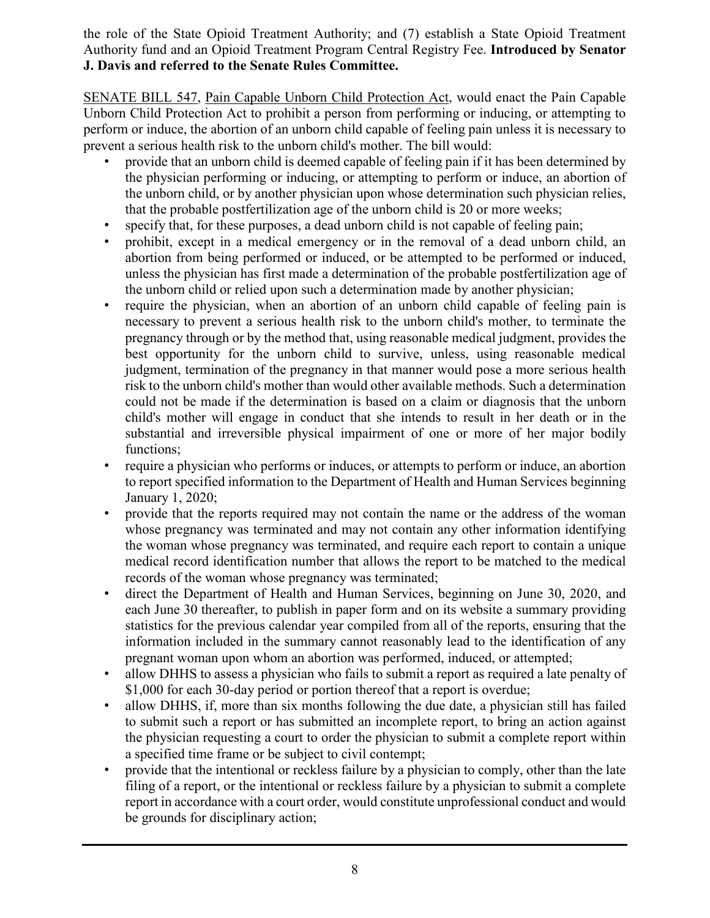the role of the State Opioid Treatment Authority; and (7) establish a State Opioid Treatment Authority fund and an Opioid Treatment Program Central Registry Fee. **Introduced by Senator J. Davis and referred to the Senate Rules Committee.**

SENATE BILL 547, Pain Capable Unborn Child Protection Act, would enact the Pain Capable Unborn Child Protection Act to prohibit a person from performing or inducing, or attempting to perform or induce, the abortion of an unborn child capable of feeling pain unless it is necessary to prevent a serious health risk to the unborn child's mother. The bill would:

- provide that an unborn child is deemed capable of feeling pain if it has been determined by the physician performing or inducing, or attempting to perform or induce, an abortion of the unborn child, or by another physician upon whose determination such physician relies, that the probable postfertilization age of the unborn child is 20 or more weeks;
- specify that, for these purposes, a dead unborn child is not capable of feeling pain;
- prohibit, except in a medical emergency or in the removal of a dead unborn child, an abortion from being performed or induced, or be attempted to be performed or induced, unless the physician has first made a determination of the probable postfertilization age of the unborn child or relied upon such a determination made by another physician;
- require the physician, when an abortion of an unborn child capable of feeling pain is necessary to prevent a serious health risk to the unborn child's mother, to terminate the pregnancy through or by the method that, using reasonable medical judgment, provides the best opportunity for the unborn child to survive, unless, using reasonable medical judgment, termination of the pregnancy in that manner would pose a more serious health risk to the unborn child's mother than would other available methods. Such a determination could not be made if the determination is based on a claim or diagnosis that the unborn child's mother will engage in conduct that she intends to result in her death or in the substantial and irreversible physical impairment of one or more of her major bodily functions;
- require a physician who performs or induces, or attempts to perform or induce, an abortion to report specified information to the Department of Health and Human Services beginning January 1, 2020;
- provide that the reports required may not contain the name or the address of the woman whose pregnancy was terminated and may not contain any other information identifying the woman whose pregnancy was terminated, and require each report to contain a unique medical record identification number that allows the report to be matched to the medical records of the woman whose pregnancy was terminated;
- direct the Department of Health and Human Services, beginning on June 30, 2020, and each June 30 thereafter, to publish in paper form and on its website a summary providing statistics for the previous calendar year compiled from all of the reports, ensuring that the information included in the summary cannot reasonably lead to the identification of any pregnant woman upon whom an abortion was performed, induced, or attempted;
- allow DHHS to assess a physician who fails to submit a report as required a late penalty of \$1,000 for each 30-day period or portion thereof that a report is overdue;
- allow DHHS, if, more than six months following the due date, a physician still has failed to submit such a report or has submitted an incomplete report, to bring an action against the physician requesting a court to order the physician to submit a complete report within a specified time frame or be subject to civil contempt;
- provide that the intentional or reckless failure by a physician to comply, other than the late filing of a report, or the intentional or reckless failure by a physician to submit a complete report in accordance with a court order, would constitute unprofessional conduct and would be grounds for disciplinary action;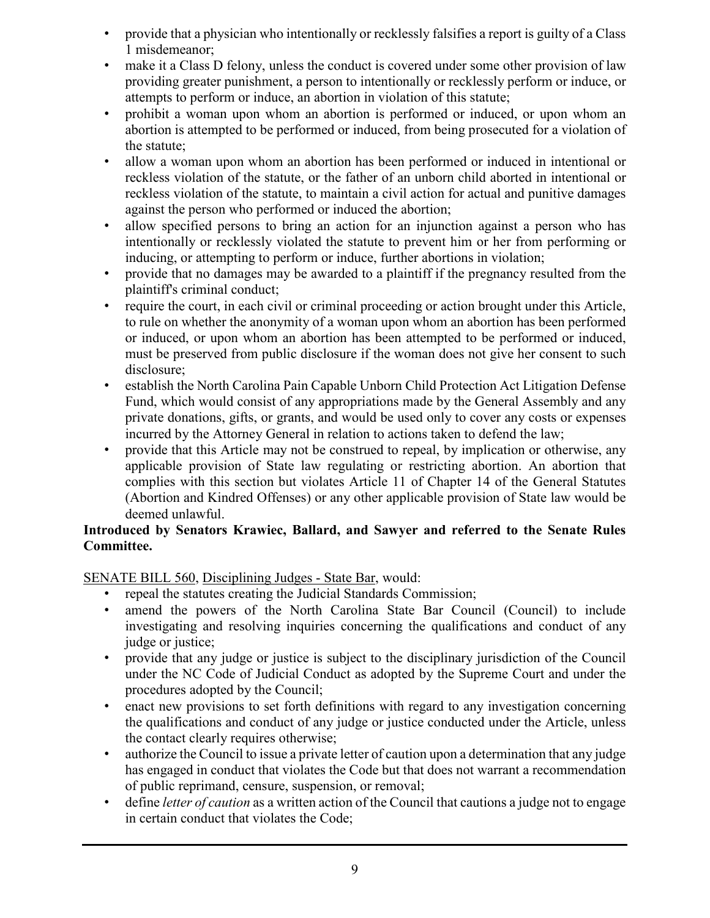- provide that a physician who intentionally or recklessly falsifies a report is guilty of a Class 1 misdemeanor;
- make it a Class D felony, unless the conduct is covered under some other provision of law providing greater punishment, a person to intentionally or recklessly perform or induce, or attempts to perform or induce, an abortion in violation of this statute;
- prohibit a woman upon whom an abortion is performed or induced, or upon whom an abortion is attempted to be performed or induced, from being prosecuted for a violation of the statute;
- allow a woman upon whom an abortion has been performed or induced in intentional or reckless violation of the statute, or the father of an unborn child aborted in intentional or reckless violation of the statute, to maintain a civil action for actual and punitive damages against the person who performed or induced the abortion;
- allow specified persons to bring an action for an injunction against a person who has intentionally or recklessly violated the statute to prevent him or her from performing or inducing, or attempting to perform or induce, further abortions in violation;
- provide that no damages may be awarded to a plaintiff if the pregnancy resulted from the plaintiff's criminal conduct;
- require the court, in each civil or criminal proceeding or action brought under this Article, to rule on whether the anonymity of a woman upon whom an abortion has been performed or induced, or upon whom an abortion has been attempted to be performed or induced, must be preserved from public disclosure if the woman does not give her consent to such disclosure;
- establish the North Carolina Pain Capable Unborn Child Protection Act Litigation Defense Fund, which would consist of any appropriations made by the General Assembly and any private donations, gifts, or grants, and would be used only to cover any costs or expenses incurred by the Attorney General in relation to actions taken to defend the law;
- provide that this Article may not be construed to repeal, by implication or otherwise, any applicable provision of State law regulating or restricting abortion. An abortion that complies with this section but violates Article 11 of Chapter 14 of the General Statutes (Abortion and Kindred Offenses) or any other applicable provision of State law would be deemed unlawful.

#### **Introduced by Senators Krawiec, Ballard, and Sawyer and referred to the Senate Rules Committee.**

SENATE BILL 560, Disciplining Judges - State Bar, would:

- repeal the statutes creating the Judicial Standards Commission;
- amend the powers of the North Carolina State Bar Council (Council) to include investigating and resolving inquiries concerning the qualifications and conduct of any judge or justice;
- provide that any judge or justice is subject to the disciplinary jurisdiction of the Council under the NC Code of Judicial Conduct as adopted by the Supreme Court and under the procedures adopted by the Council;
- enact new provisions to set forth definitions with regard to any investigation concerning the qualifications and conduct of any judge or justice conducted under the Article, unless the contact clearly requires otherwise;
- authorize the Council to issue a private letter of caution upon a determination that any judge has engaged in conduct that violates the Code but that does not warrant a recommendation of public reprimand, censure, suspension, or removal;
- define *letter of caution* as a written action of the Council that cautions a judge not to engage in certain conduct that violates the Code;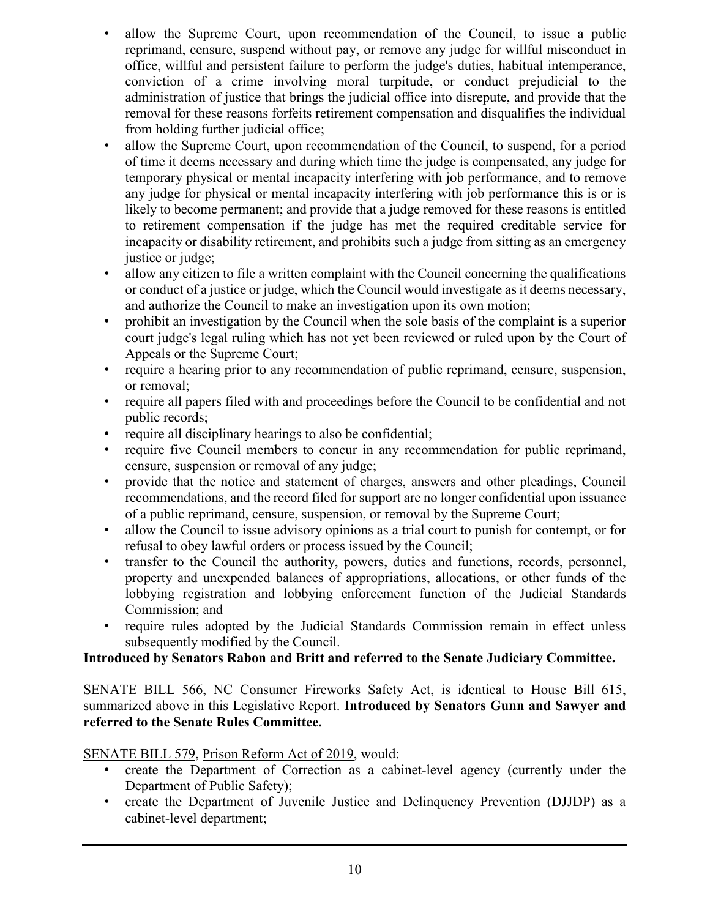- allow the Supreme Court, upon recommendation of the Council, to issue a public reprimand, censure, suspend without pay, or remove any judge for willful misconduct in office, willful and persistent failure to perform the judge's duties, habitual intemperance, conviction of a crime involving moral turpitude, or conduct prejudicial to the administration of justice that brings the judicial office into disrepute, and provide that the removal for these reasons forfeits retirement compensation and disqualifies the individual from holding further judicial office;
- allow the Supreme Court, upon recommendation of the Council, to suspend, for a period of time it deems necessary and during which time the judge is compensated, any judge for temporary physical or mental incapacity interfering with job performance, and to remove any judge for physical or mental incapacity interfering with job performance this is or is likely to become permanent; and provide that a judge removed for these reasons is entitled to retirement compensation if the judge has met the required creditable service for incapacity or disability retirement, and prohibits such a judge from sitting as an emergency justice or judge;
- allow any citizen to file a written complaint with the Council concerning the qualifications or conduct of a justice or judge, which the Council would investigate as it deems necessary, and authorize the Council to make an investigation upon its own motion;
- prohibit an investigation by the Council when the sole basis of the complaint is a superior court judge's legal ruling which has not yet been reviewed or ruled upon by the Court of Appeals or the Supreme Court;
- require a hearing prior to any recommendation of public reprimand, censure, suspension, or removal;
- require all papers filed with and proceedings before the Council to be confidential and not public records;
- require all disciplinary hearings to also be confidential;
- require five Council members to concur in any recommendation for public reprimand, censure, suspension or removal of any judge;
- provide that the notice and statement of charges, answers and other pleadings, Council recommendations, and the record filed for support are no longer confidential upon issuance of a public reprimand, censure, suspension, or removal by the Supreme Court;
- allow the Council to issue advisory opinions as a trial court to punish for contempt, or for refusal to obey lawful orders or process issued by the Council;
- transfer to the Council the authority, powers, duties and functions, records, personnel, property and unexpended balances of appropriations, allocations, or other funds of the lobbying registration and lobbying enforcement function of the Judicial Standards Commission; and
- require rules adopted by the Judicial Standards Commission remain in effect unless subsequently modified by the Council.

#### **Introduced by Senators Rabon and Britt and referred to the Senate Judiciary Committee.**

SENATE BILL 566, NC Consumer Fireworks Safety Act, is identical to House Bill 615, summarized above in this Legislative Report. **Introduced by Senators Gunn and Sawyer and referred to the Senate Rules Committee.**

SENATE BILL 579, Prison Reform Act of 2019, would:

- create the Department of Correction as a cabinet-level agency (currently under the Department of Public Safety);
- create the Department of Juvenile Justice and Delinquency Prevention (DJJDP) as a cabinet-level department;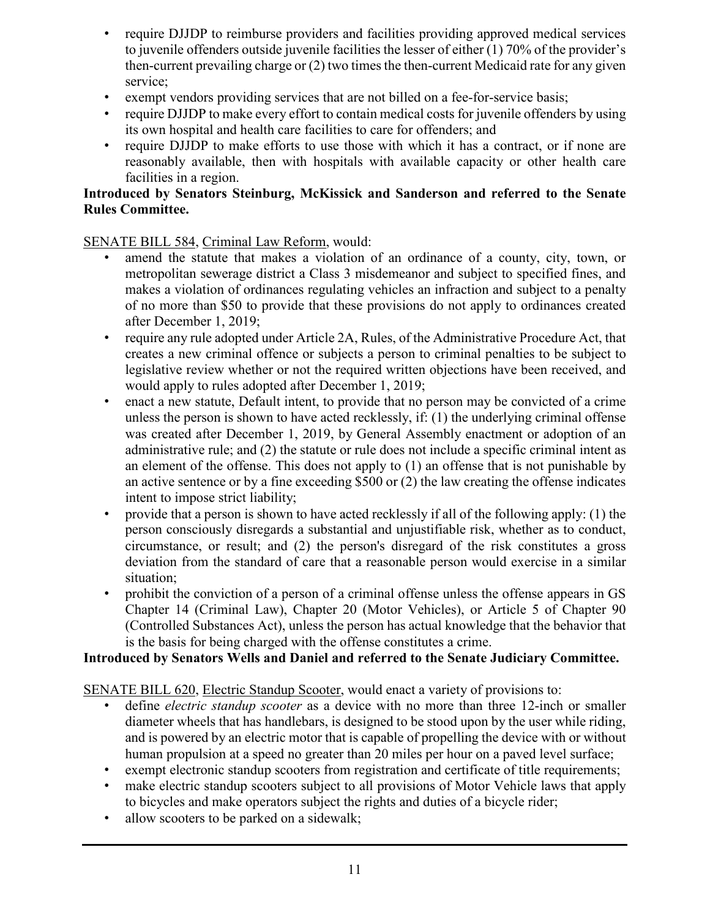- require DJJDP to reimburse providers and facilities providing approved medical services to juvenile offenders outside juvenile facilities the lesser of either (1) 70% of the provider's then-current prevailing charge or (2) two times the then-current Medicaid rate for any given service;
- exempt vendors providing services that are not billed on a fee-for-service basis;
- require DJJDP to make every effort to contain medical costs for juvenile offenders by using its own hospital and health care facilities to care for offenders; and
- require DJJDP to make efforts to use those with which it has a contract, or if none are reasonably available, then with hospitals with available capacity or other health care facilities in a region.

#### **Introduced by Senators Steinburg, McKissick and Sanderson and referred to the Senate Rules Committee.**

#### SENATE BILL 584, Criminal Law Reform, would:

- amend the statute that makes a violation of an ordinance of a county, city, town, or metropolitan sewerage district a Class 3 misdemeanor and subject to specified fines, and makes a violation of ordinances regulating vehicles an infraction and subject to a penalty of no more than \$50 to provide that these provisions do not apply to ordinances created after December 1, 2019;
- require any rule adopted under Article 2A, Rules, of the Administrative Procedure Act, that creates a new criminal offence or subjects a person to criminal penalties to be subject to legislative review whether or not the required written objections have been received, and would apply to rules adopted after December 1, 2019;
- enact a new statute, Default intent, to provide that no person may be convicted of a crime unless the person is shown to have acted recklessly, if: (1) the underlying criminal offense was created after December 1, 2019, by General Assembly enactment or adoption of an administrative rule; and (2) the statute or rule does not include a specific criminal intent as an element of the offense. This does not apply to (1) an offense that is not punishable by an active sentence or by a fine exceeding \$500 or (2) the law creating the offense indicates intent to impose strict liability;
- provide that a person is shown to have acted recklessly if all of the following apply: (1) the person consciously disregards a substantial and unjustifiable risk, whether as to conduct, circumstance, or result; and (2) the person's disregard of the risk constitutes a gross deviation from the standard of care that a reasonable person would exercise in a similar situation;
- prohibit the conviction of a person of a criminal offense unless the offense appears in GS Chapter 14 (Criminal Law), Chapter 20 (Motor Vehicles), or Article 5 of Chapter 90 (Controlled Substances Act), unless the person has actual knowledge that the behavior that is the basis for being charged with the offense constitutes a crime.

#### **Introduced by Senators Wells and Daniel and referred to the Senate Judiciary Committee.**

SENATE BILL 620, Electric Standup Scooter, would enact a variety of provisions to:

- define *electric standup scooter* as a device with no more than three 12-inch or smaller diameter wheels that has handlebars, is designed to be stood upon by the user while riding, and is powered by an electric motor that is capable of propelling the device with or without human propulsion at a speed no greater than 20 miles per hour on a paved level surface;
- exempt electronic standup scooters from registration and certificate of title requirements;
- make electric standup scooters subject to all provisions of Motor Vehicle laws that apply to bicycles and make operators subject the rights and duties of a bicycle rider;
- allow scooters to be parked on a sidewalk;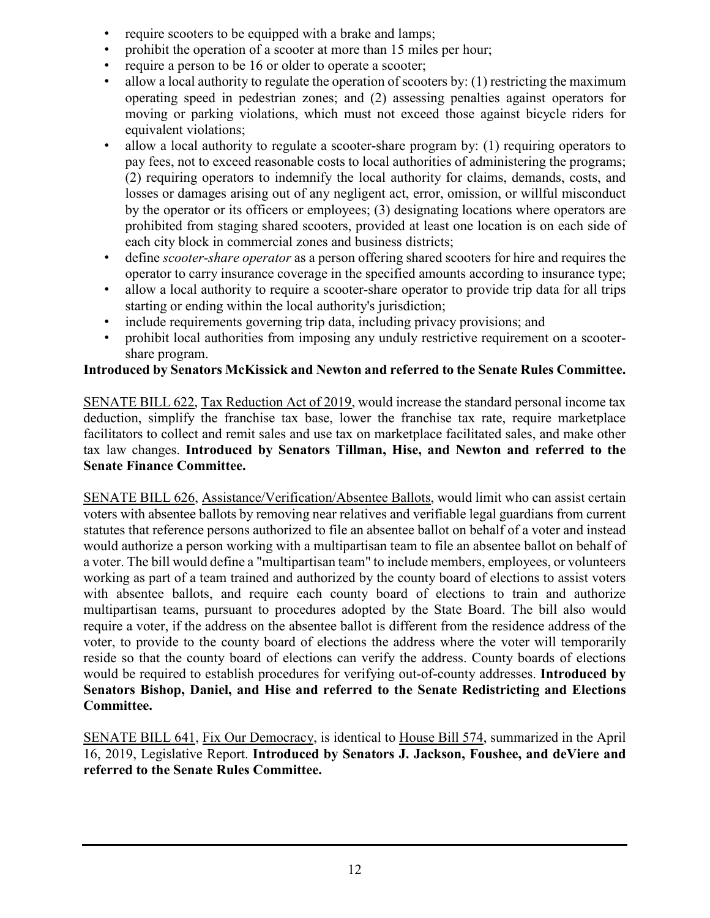- require scooters to be equipped with a brake and lamps;
- prohibit the operation of a scooter at more than 15 miles per hour;
- require a person to be 16 or older to operate a scooter;
- allow a local authority to regulate the operation of scooters by: (1) restricting the maximum operating speed in pedestrian zones; and (2) assessing penalties against operators for moving or parking violations, which must not exceed those against bicycle riders for equivalent violations;
- allow a local authority to regulate a scooter-share program by: (1) requiring operators to pay fees, not to exceed reasonable costs to local authorities of administering the programs; (2) requiring operators to indemnify the local authority for claims, demands, costs, and losses or damages arising out of any negligent act, error, omission, or willful misconduct by the operator or its officers or employees; (3) designating locations where operators are prohibited from staging shared scooters, provided at least one location is on each side of each city block in commercial zones and business districts;
- define *scooter-share operator* as a person offering shared scooters for hire and requires the operator to carry insurance coverage in the specified amounts according to insurance type;
- allow a local authority to require a scooter-share operator to provide trip data for all trips starting or ending within the local authority's jurisdiction;
- include requirements governing trip data, including privacy provisions; and
- prohibit local authorities from imposing any unduly restrictive requirement on a scootershare program.

#### **Introduced by Senators McKissick and Newton and referred to the Senate Rules Committee.**

SENATE BILL 622, Tax Reduction Act of 2019, would increase the standard personal income tax deduction, simplify the franchise tax base, lower the franchise tax rate, require marketplace facilitators to collect and remit sales and use tax on marketplace facilitated sales, and make other tax law changes. **Introduced by Senators Tillman, Hise, and Newton and referred to the Senate Finance Committee.**

SENATE BILL 626, Assistance/Verification/Absentee Ballots, would limit who can assist certain voters with absentee ballots by removing near relatives and verifiable legal guardians from current statutes that reference persons authorized to file an absentee ballot on behalf of a voter and instead would authorize a person working with a multipartisan team to file an absentee ballot on behalf of a voter. The bill would define a "multipartisan team" to include members, employees, or volunteers working as part of a team trained and authorized by the county board of elections to assist voters with absentee ballots, and require each county board of elections to train and authorize multipartisan teams, pursuant to procedures adopted by the State Board. The bill also would require a voter, if the address on the absentee ballot is different from the residence address of the voter, to provide to the county board of elections the address where the voter will temporarily reside so that the county board of elections can verify the address. County boards of elections would be required to establish procedures for verifying out-of-county addresses. **Introduced by Senators Bishop, Daniel, and Hise and referred to the Senate Redistricting and Elections Committee.**

SENATE BILL 641, Fix Our Democracy, is identical to House Bill 574, summarized in the April 16, 2019, Legislative Report. **Introduced by Senators J. Jackson, Foushee, and deViere and referred to the Senate Rules Committee.**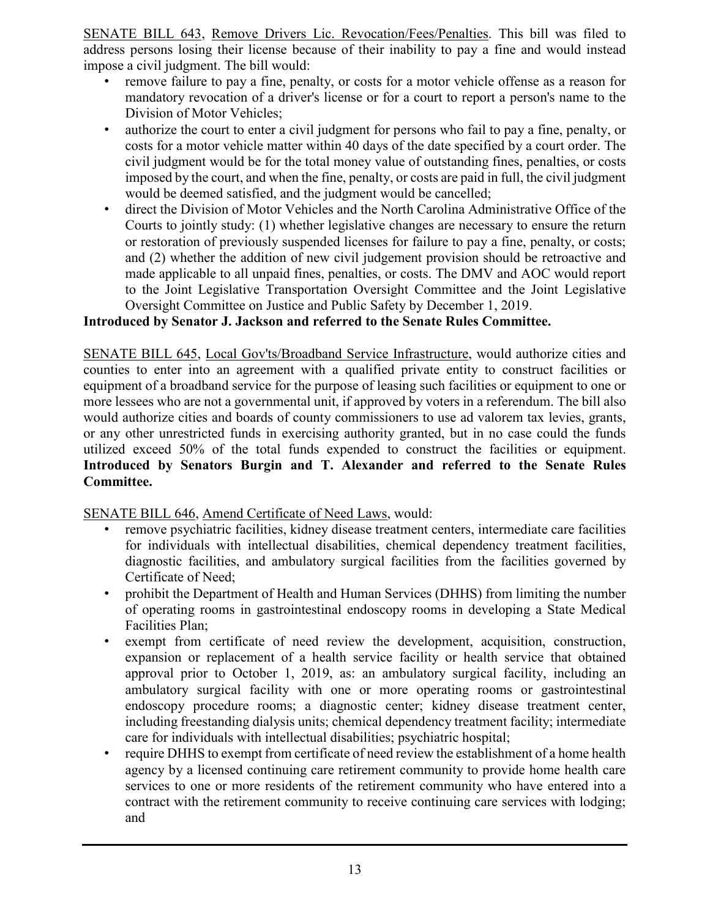SENATE BILL 643, Remove Drivers Lic. Revocation/Fees/Penalties. This bill was filed to address persons losing their license because of their inability to pay a fine and would instead impose a civil judgment. The bill would:

- remove failure to pay a fine, penalty, or costs for a motor vehicle offense as a reason for mandatory revocation of a driver's license or for a court to report a person's name to the Division of Motor Vehicles;
- authorize the court to enter a civil judgment for persons who fail to pay a fine, penalty, or costs for a motor vehicle matter within 40 days of the date specified by a court order. The civil judgment would be for the total money value of outstanding fines, penalties, or costs imposed by the court, and when the fine, penalty, or costs are paid in full, the civil judgment would be deemed satisfied, and the judgment would be cancelled;
- direct the Division of Motor Vehicles and the North Carolina Administrative Office of the Courts to jointly study: (1) whether legislative changes are necessary to ensure the return or restoration of previously suspended licenses for failure to pay a fine, penalty, or costs; and (2) whether the addition of new civil judgement provision should be retroactive and made applicable to all unpaid fines, penalties, or costs. The DMV and AOC would report to the Joint Legislative Transportation Oversight Committee and the Joint Legislative Oversight Committee on Justice and Public Safety by December 1, 2019.

#### **Introduced by Senator J. Jackson and referred to the Senate Rules Committee.**

SENATE BILL 645, Local Gov'ts/Broadband Service Infrastructure, would authorize cities and counties to enter into an agreement with a qualified private entity to construct facilities or equipment of a broadband service for the purpose of leasing such facilities or equipment to one or more lessees who are not a governmental unit, if approved by voters in a referendum. The bill also would authorize cities and boards of county commissioners to use ad valorem tax levies, grants, or any other unrestricted funds in exercising authority granted, but in no case could the funds utilized exceed 50% of the total funds expended to construct the facilities or equipment. **Introduced by Senators Burgin and T. Alexander and referred to the Senate Rules Committee.**

SENATE BILL 646, Amend Certificate of Need Laws, would:

- remove psychiatric facilities, kidney disease treatment centers, intermediate care facilities for individuals with intellectual disabilities, chemical dependency treatment facilities, diagnostic facilities, and ambulatory surgical facilities from the facilities governed by Certificate of Need;
- prohibit the Department of Health and Human Services (DHHS) from limiting the number of operating rooms in gastrointestinal endoscopy rooms in developing a State Medical Facilities Plan;
- exempt from certificate of need review the development, acquisition, construction, expansion or replacement of a health service facility or health service that obtained approval prior to October 1, 2019, as: an ambulatory surgical facility, including an ambulatory surgical facility with one or more operating rooms or gastrointestinal endoscopy procedure rooms; a diagnostic center; kidney disease treatment center, including freestanding dialysis units; chemical dependency treatment facility; intermediate care for individuals with intellectual disabilities; psychiatric hospital;
- require DHHS to exempt from certificate of need review the establishment of a home health agency by a licensed continuing care retirement community to provide home health care services to one or more residents of the retirement community who have entered into a contract with the retirement community to receive continuing care services with lodging; and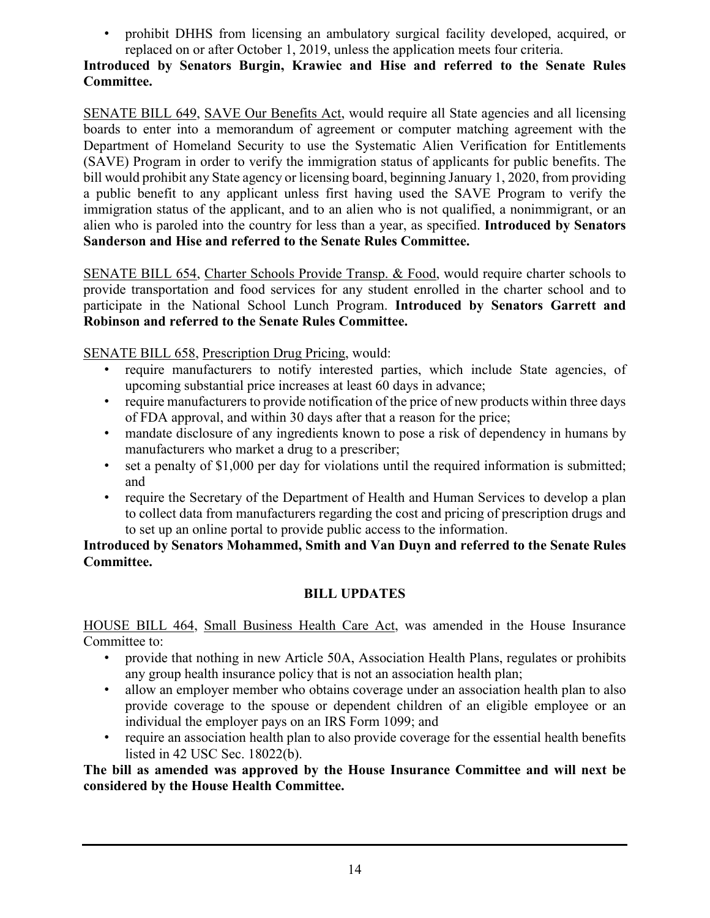• prohibit DHHS from licensing an ambulatory surgical facility developed, acquired, or replaced on or after October 1, 2019, unless the application meets four criteria.

#### **Introduced by Senators Burgin, Krawiec and Hise and referred to the Senate Rules Committee.**

SENATE BILL 649, SAVE Our Benefits Act, would require all State agencies and all licensing boards to enter into a memorandum of agreement or computer matching agreement with the Department of Homeland Security to use the Systematic Alien Verification for Entitlements (SAVE) Program in order to verify the immigration status of applicants for public benefits. The bill would prohibit any State agency or licensing board, beginning January 1, 2020, from providing a public benefit to any applicant unless first having used the SAVE Program to verify the immigration status of the applicant, and to an alien who is not qualified, a nonimmigrant, or an alien who is paroled into the country for less than a year, as specified. **Introduced by Senators Sanderson and Hise and referred to the Senate Rules Committee.**

SENATE BILL 654, Charter Schools Provide Transp. & Food, would require charter schools to provide transportation and food services for any student enrolled in the charter school and to participate in the National School Lunch Program. **Introduced by Senators Garrett and Robinson and referred to the Senate Rules Committee.**

SENATE BILL 658, Prescription Drug Pricing, would:

- require manufacturers to notify interested parties, which include State agencies, of upcoming substantial price increases at least 60 days in advance;
- require manufacturers to provide notification of the price of new products within three days of FDA approval, and within 30 days after that a reason for the price;
- mandate disclosure of any ingredients known to pose a risk of dependency in humans by manufacturers who market a drug to a prescriber;
- set a penalty of \$1,000 per day for violations until the required information is submitted; and
- require the Secretary of the Department of Health and Human Services to develop a plan to collect data from manufacturers regarding the cost and pricing of prescription drugs and to set up an online portal to provide public access to the information.

**Introduced by Senators Mohammed, Smith and Van Duyn and referred to the Senate Rules Committee.**

#### **BILL UPDATES**

HOUSE BILL 464, Small Business Health Care Act, was amended in the House Insurance Committee to:

- provide that nothing in new Article 50A, Association Health Plans, regulates or prohibits any group health insurance policy that is not an association health plan;
- allow an employer member who obtains coverage under an association health plan to also provide coverage to the spouse or dependent children of an eligible employee or an individual the employer pays on an IRS Form 1099; and
- require an association health plan to also provide coverage for the essential health benefits listed in 42 USC Sec. 18022(b).

**The bill as amended was approved by the House Insurance Committee and will next be considered by the House Health Committee.**